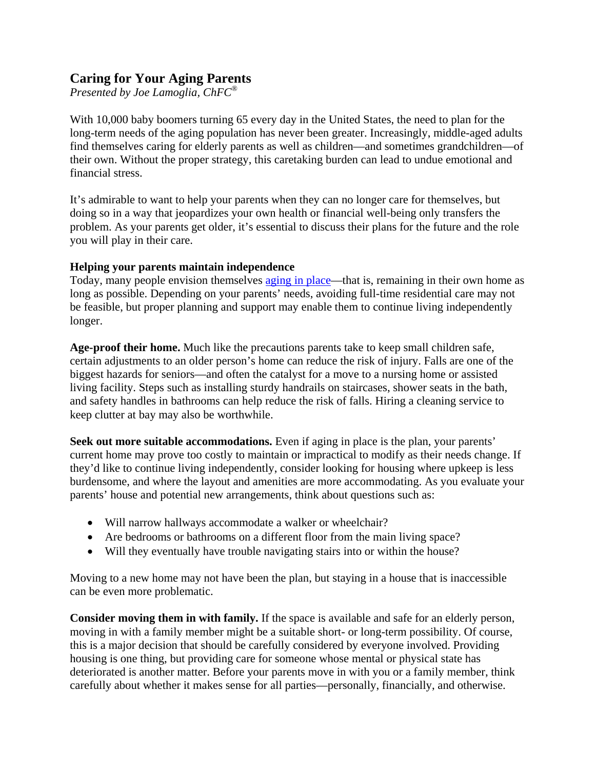## **Caring for Your Aging Parents**

*Presented by Joe Lamoglia, ChFC®*

With 10,000 baby boomers turning 65 every day in the United States, the need to plan for the long-term needs of the aging population has never been greater. Increasingly, middle-aged adults find themselves caring for elderly parents as well as children—and sometimes grandchildren—of their own. Without the proper strategy, this caretaking burden can lead to undue emotional and financial stress.

It's admirable to want to help your parents when they can no longer care for themselves, but doing so in a way that jeopardizes your own health or financial well-being only transfers the problem. As your parents get older, it's essential to discuss their plans for the future and the role you will play in their care.

## **Helping your parents maintain independence**

Today, many people envision themselves [aging in place—](http://www.ageinplace.org/)that is, remaining in their own home as long as possible. Depending on your parents' needs, avoiding full-time residential care may not be feasible, but proper planning and support may enable them to continue living independently longer.

**Age-proof their home.** Much like the precautions parents take to keep small children safe, certain adjustments to an older person's home can reduce the risk of injury. Falls are one of the biggest hazards for seniors—and often the catalyst for a move to a nursing home or assisted living facility. Steps such as installing sturdy handrails on staircases, shower seats in the bath, and safety handles in bathrooms can help reduce the risk of falls. Hiring a cleaning service to keep clutter at bay may also be worthwhile.

**Seek out more suitable accommodations.** Even if aging in place is the plan, your parents' current home may prove too costly to maintain or impractical to modify as their needs change. If they'd like to continue living independently, consider looking for housing where upkeep is less burdensome, and where the layout and amenities are more accommodating. As you evaluate your parents' house and potential new arrangements, think about questions such as:

- Will narrow hallways accommodate a walker or wheelchair?
- Are bedrooms or bathrooms on a different floor from the main living space?
- Will they eventually have trouble navigating stairs into or within the house?

Moving to a new home may not have been the plan, but staying in a house that is inaccessible can be even more problematic.

**Consider moving them in with family.** If the space is available and safe for an elderly person, moving in with a family member might be a suitable short- or long-term possibility. Of course, this is a major decision that should be carefully considered by everyone involved. Providing housing is one thing, but providing care for someone whose mental or physical state has deteriorated is another matter. Before your parents move in with you or a family member, think carefully about whether it makes sense for all parties—personally, financially, and otherwise.